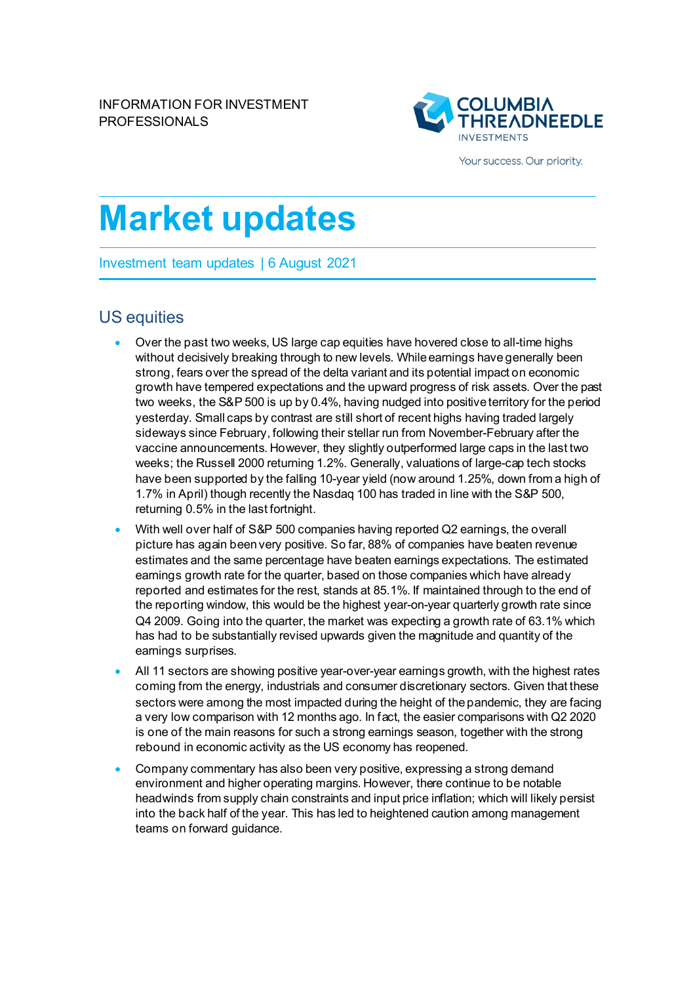

Your success. Our priority.

# **Market updates**

Investment team updates | 6 August 2021

## US equities

- Over the past two weeks, US large cap equities have hovered close to all-time highs without decisively breaking through to new levels. While earnings have generally been strong, fears over the spread of the delta variant and its potential impact on economic growth have tempered expectations and the upward progress of risk assets. Over the past two weeks, the S&P 500 is up by 0.4%, having nudged into positive territory for the period yesterday. Small caps by contrast are still short of recent highs having traded largely sideways since February, following their stellar run from November-February after the vaccine announcements. However, they slightly outperformed large caps in the last two weeks; the Russell 2000 returning 1.2%. Generally, valuations of large-cap tech stocks have been supported by the falling 10-year yield (now around 1.25%, down from a high of 1.7% in April) though recently the Nasdaq 100 has traded in line with the S&P 500, returning 0.5% in the last fortnight.
- With well over half of S&P 500 companies having reported Q2 earnings, the overall picture has again been very positive. So far, 88% of companies have beaten revenue estimates and the same percentage have beaten earnings expectations. The estimated earnings growth rate for the quarter, based on those companies which have already reported and estimates for the rest, stands at 85.1%. If maintained through to the end of the reporting window, this would be the highest year-on-year quarterly growth rate since Q4 2009. Going into the quarter, the market was expecting a growth rate of 63.1% which has had to be substantially revised upwards given the magnitude and quantity of the earnings surprises.
- All 11 sectors are showing positive year-over-year earnings growth, with the highest rates coming from the energy, industrials and consumer discretionary sectors. Given that these sectors were among the most impacted during the height of the pandemic, they are facing a very low comparison with 12 months ago. In fact, the easier comparisons with Q2 2020 is one of the main reasons for such a strong earnings season, together with the strong rebound in economic activity as the US economy has reopened.
- Company commentary has also been very positive, expressing a strong demand environment and higher operating margins. However, there continue to be notable headwinds from supply chain constraints and input price inflation; which will likely persist into the back half of the year. This has led to heightened caution among management teams on forward guidance.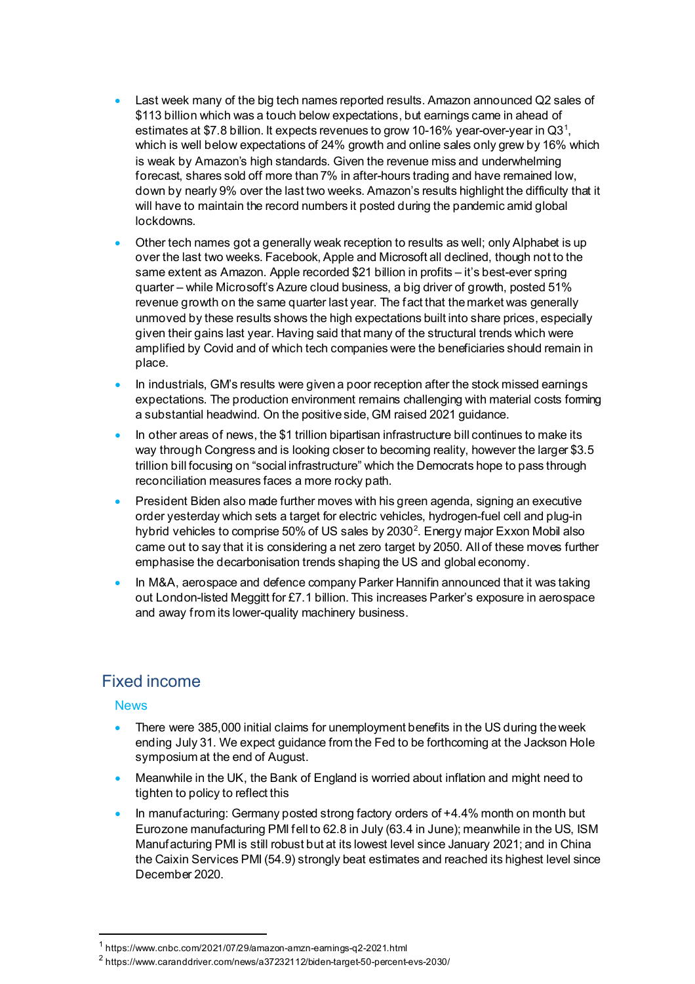- Last week many of the big tech names reported results. Amazon announced Q2 sales of \$113 billion which was a touch below expectations, but earnings came in ahead of estimates at \$7.8 billion. It expects revenues to grow [1](#page-1-0)0-16% year-over-year in Q31, which is well below expectations of 24% growth and online sales only grew by 16% which is weak by Amazon's high standards. Given the revenue miss and underwhelming forecast, shares sold off more than 7% in after-hours trading and have remained low, down by nearly 9% over the last two weeks. Amazon's results highlight the difficulty that it will have to maintain the record numbers it posted during the pandemic amid global lockdowns.
- Other tech names got a generally weak reception to results as well; only Alphabet is up over the last two weeks. Facebook, Apple and Microsoft all declined, though not to the same extent as Amazon. Apple recorded \$21 billion in profits – it's best-ever spring quarter – while Microsoft's Azure cloud business, a big driver of growth, posted 51% revenue growth on the same quarter last year. The fact that the market was generally unmoved by these results shows the high expectations built into share prices, especially given their gains last year. Having said that many of the structural trends which were amplified by Covid and of which tech companies were the beneficiaries should remain in place.
- In industrials, GM's results were given a poor reception after the stock missed earnings expectations. The production environment remains challenging with material costs forming a substantial headwind. On the positive side, GM raised 2021 guidance.
- In other areas of news, the \$1 trillion bipartisan infrastructure bill continues to make its way through Congress and is looking closer to becoming reality, however the larger \$3.5 trillion bill focusing on "social infrastructure" which the Democrats hope to pass through reconciliation measures faces a more rocky path.
- President Biden also made further moves with his green agenda, signing an executive order yesterday which sets a target for electric vehicles, hydrogen-fuel cell and plug-in hybrid vehicles to comprise 50% of US sales by [2](#page-1-1)030 $^2$ . Energy major Exxon Mobil also came out to say that it is considering a net zero target by 2050. All of these moves further emphasise the decarbonisation trends shaping the US and global economy.
- In M&A, aerospace and defence company Parker Hannifin announced that it was taking out London-listed Meggitt for £7.1 billion. This increases Parker's exposure in aerospace and away from its lower-quality machinery business.

## Fixed income

#### **News**

- There were 385,000 initial claims for unemployment benefits in the US during the week ending July 31. We expect guidance from the Fed to be forthcoming at the Jackson Hole symposium at the end of August.
- Meanwhile in the UK, the Bank of England is worried about inflation and might need to tighten to policy to reflect this
- In manufacturing: Germany posted strong factory orders of +4.4% month on month but Eurozone manufacturing PMI fell to 62.8 in July (63.4 in June); meanwhile in the US, ISM Manufacturing PMI is still robust but at its lowest level since January 2021; and in China the Caixin Services PMI (54.9) strongly beat estimates and reached its highest level since December 2020.

<sup>1</sup> https://www.cnbc.com/2021/07/29/amazon-amzn-earnings-q2-2021.html

<span id="page-1-1"></span><span id="page-1-0"></span><sup>2</sup> https://www.caranddriver.com/news/a37232112/biden-target-50-percent-evs-2030/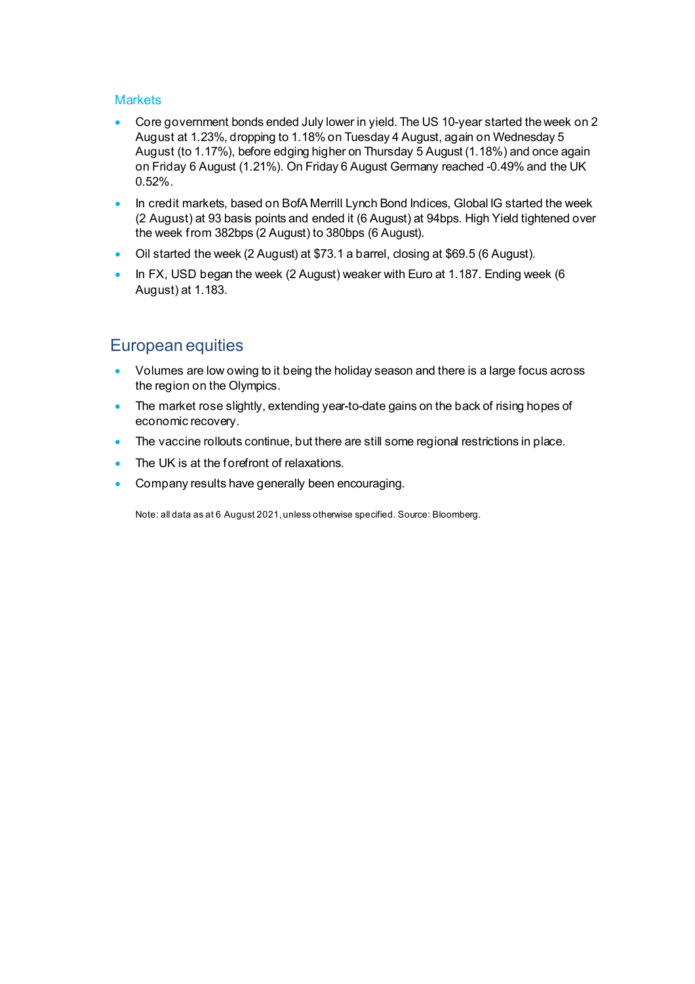#### **Markets**

- Core government bonds ended July lower in yield. The US 10-year started the week on 2 August at 1.23%, dropping to 1.18% on Tuesday 4 August, again on Wednesday 5 August (to 1.17%), before edging higher on Thursday 5 August (1.18%) and once again on Friday 6 August (1.21%). On Friday 6 August Germany reached -0.49% and the UK 0.52%.
- In credit markets, based on BofA Merrill Lynch Bond Indices, Global IG started the week (2 August) at 93 basis points and ended it (6 August) at 94bps. High Yield tightened over the week from 382bps (2 August) to 380bps (6 August).
- Oil started the week (2 August) at \$73.1 a barrel, closing at \$69.5 (6 August).
- In FX, USD began the week (2 August) weaker with Euro at 1.187. Ending week (6 August) at 1.183.

### European equities

- Volumes are low owing to it being the holiday season and there is a large focus across the region on the Olympics.
- The market rose slightly, extending year-to-date gains on the back of rising hopes of economic recovery.
- The vaccine rollouts continue, but there are still some regional restrictions in place.
- The UK is at the forefront of relaxations.
- Company results have generally been encouraging.

Note: all data as at 6 August 2021, unless otherwise specified. Source: Bloomberg.